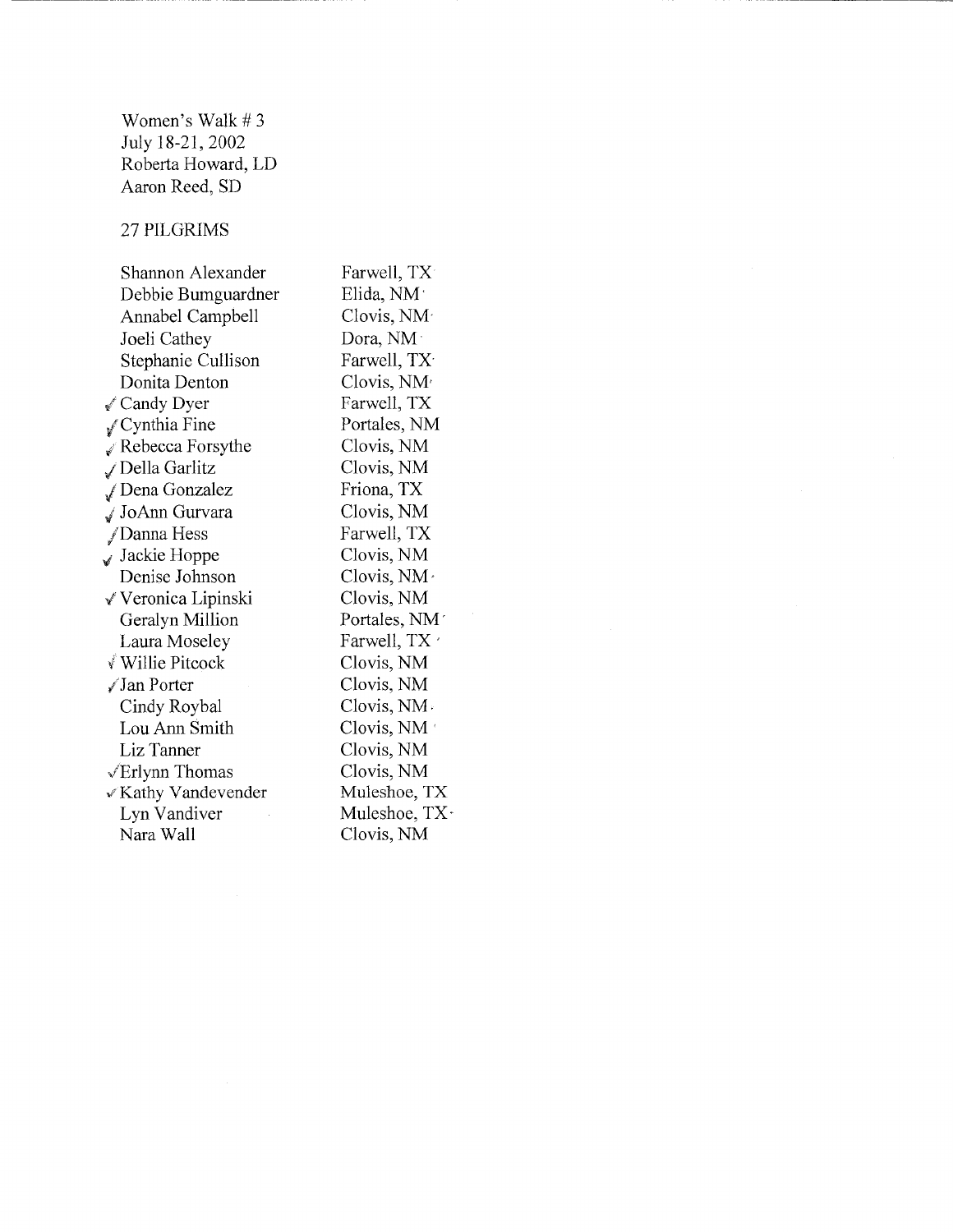Women's Walk #3 July 18-21,2002 Roberta Howard, LD Aaron Reed, SD

## 27 PILGRIMS

Shannon Alexander Debbie Bumguardner Annabel Campbell Joeli Cathey Stephanie Cullison Donita Denton √ Candy Dyer *l* Cynthia Fine  $\mathscr X$  Rebecca Forsythe ,; Della Garlitz *1* Dena Gonzalez ./JoAnn Gurvara /Danna Hess  $\sqrt{s}$  Jackie Hoppe Denise Johnson √ Veronica Lipinski Geralyn Million Laura Moseley ,f Willie Pitcock /Jan Porter Cindy Roybal Lou Ann Smith Liz Tanner ,/Erlynn Thomas >~'Kathy Vandevender Lyn Vandiver Nara Wall

Farwell, TX Elida, NM' Clovis, NM· Dora, NM Farwell, TX Clovis, NM· Farwell, TX Portales, NM Clovis, NM Clovis, NM Friona, TX Clovis, NM Farwell, TX Clovis, NM Clovis, NM, Clovis, NM Portales, NM · Farwell, TX ' Clovis, NM Clovis, NM Clovis, NM-Clovis, NM' Clovis, NM Clovis, NM Muleshoe, TX Muleshoe, TX· Clovis, NM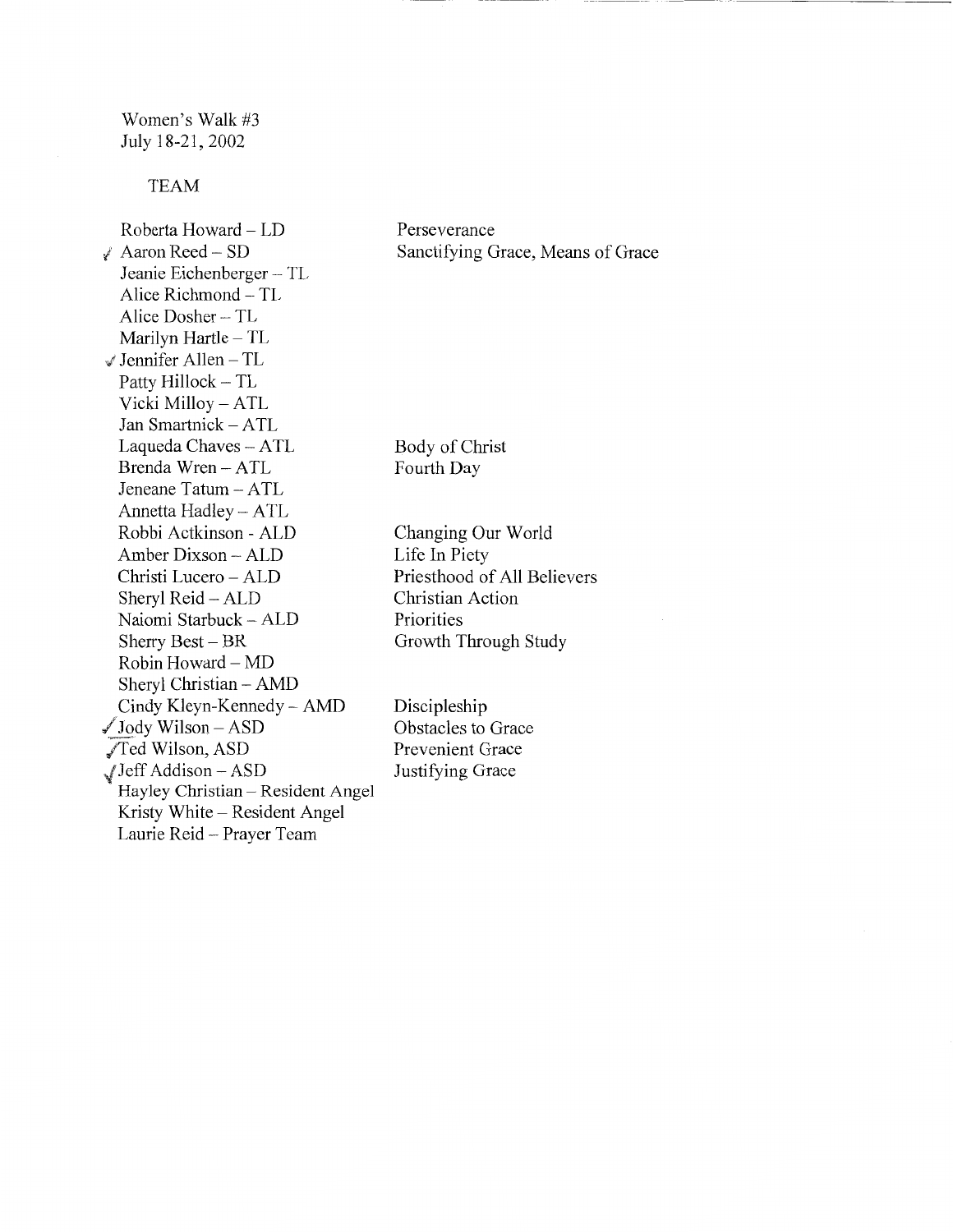Women's Walk #3 July 18-21,2002

## TEAM

Roberta Howard - LD *1* Aaron Reed - SD Jeanie Eichenberger - TL Alice Richmond - TL Alice Dosher - TL Marilyn Hartle - TL Jennifer Allen- TL Patty Hillock - TL Vicki Milloy - ATL Jan Smartnick - ATL Laqueda Chaves - ATL Brenda Wren - ATL Jeneane Tatum- ATL Annetta Hadley- ATL Robbi Actkinson - ALD Amber Dixson- ALD Christi Lucero - ALD Sheryl Reid- ALD Naiomi Starbuck- ALD Sherry Best  $-$  BR  $Robin Howard-MD$ Sheryl Christian - AMD Cindy Kleyn-Kennedy- AMD  $\sqrt{\text{Jody Wilson} - \text{ASD}}$ JTed Wilson, ASD -/'Jeff Addison- ASD Hayley Christian - Resident Angel Kristy White - Resident Angel Laurie Reid- Prayer Team

Perseverance Sanctifying Grace, Means of Grace

Body of Christ Fourth Day

Changing Our World Life In Piety Priesthood of All Believers Christian Action Priorities Growth Through Study

Discipleship Obstacles to Grace Prevenient Grace Justifying Grace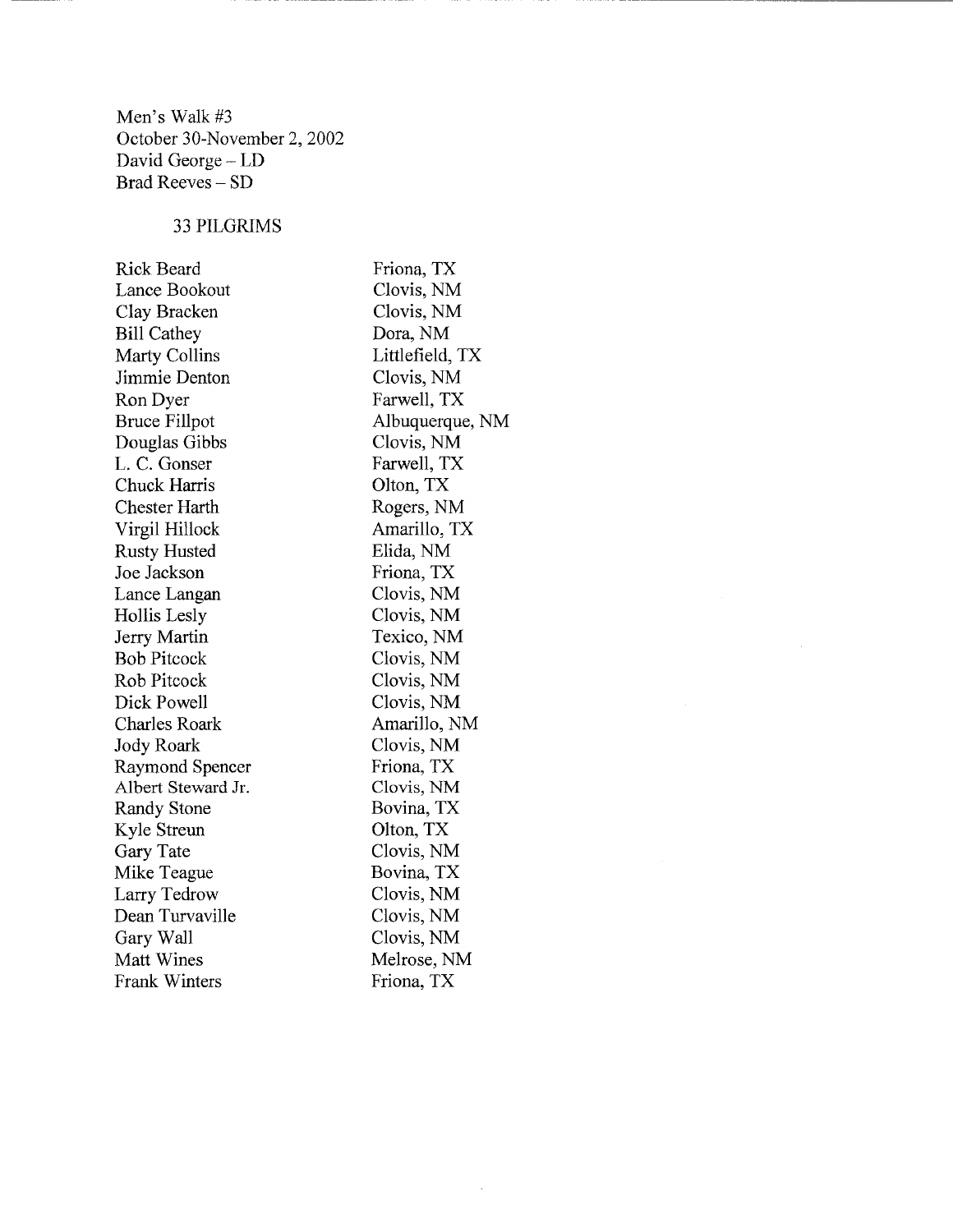Men's Walk #3 October 30-November 2, 2002 David George - LD Brad Reeves - SD

## 33 PILGRIMS

| <b>Rick Beard</b>    | Friona, TX      |
|----------------------|-----------------|
| Lance Bookout        | Clovis, NM      |
| Clay Bracken         | Clovis, NM      |
| <b>Bill Cathey</b>   | Dora, NM        |
| Marty Collins        | Littlefield, TX |
| Jimmie Denton        | Clovis, NM      |
| Ron Dyer             | Farwell, TX     |
| <b>Bruce Fillpot</b> | Albuquerque, NM |
| Douglas Gibbs        | Clovis, NM      |
| L. C. Gonser         | Farwell, TX     |
| Chuck Harris         | Olton, TX       |
| <b>Chester Harth</b> | Rogers, NM      |
| Virgil Hillock       | Amarillo, TX    |
| <b>Rusty Husted</b>  | Elida, NM       |
| Joe Jackson          | Friona, TX      |
| Lance Langan         | Clovis, NM      |
| Hollis Lesly         | Clovis, NM      |
| Jerry Martin         | Texico, NM      |
| <b>Bob Pitcock</b>   | Clovis, NM      |
| Rob Pitcock          | Clovis, NM      |
| Dick Powell          | Clovis, NM      |
| <b>Charles Roark</b> | Amarillo, NM    |
| Jody Roark           | Clovis, NM      |
| Raymond Spencer      | Friona, TX      |
| Albert Steward Jr.   | Clovis, NM      |
| Randy Stone          | Bovina, TX      |
| Kyle Streun          | Olton, TX       |
| Gary Tate            | Clovis, NM      |
| Mike Teague          | Bovina, TX      |
| Larry Tedrow         | Clovis, NM      |
| Dean Turvaville      | Clovis, NM      |
| Gary Wall            | Clovis, NM      |
| Matt Wines           | Melrose, NM     |
| Frank Winters        | Friona, TX      |

 $\overline{\phantom{a}}$